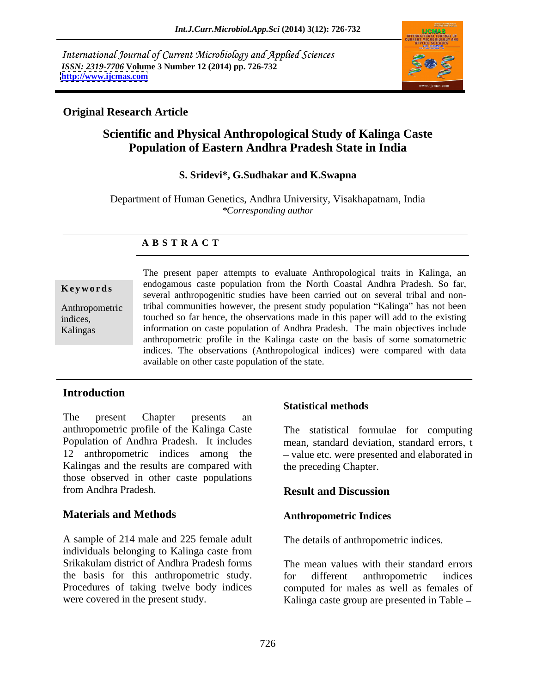International Journal of Current Microbiology and Applied Sciences *ISSN: 2319-7706* **Volume 3 Number 12 (2014) pp. 726-732 <http://www.ijcmas.com>**



## **Original Research Article**

# **Scientific and Physical Anthropological Study of Kalinga Caste Population of Eastern Andhra Pradesh State in India**

#### **S. Sridevi\*, G.Sudhakar and K.Swapna**

Department of Human Genetics, Andhra University, Visakhapatnam, India *\*Corresponding author* 

#### **A B S T R A C T**

**Keywords**several anthropogenitic studies have been carried out on several tribal and non-Anthropometric tribal communities however, the present study population "Kalinga" has not been indices, touched so far hence, the observations made in this paper will add to the existing Kalingas information on caste population of Andhra Pradesh. The main objectives include The present paper attempts to evaluate Anthropological traits in Kalinga, an endogamous caste population from the North Coastal Andhra Pradesh. So far, anthropometric profile in the Kalinga caste on the basis of some somatometric indices. The observations (Anthropological indices) were compared with data available on other caste population of the state.

## **Introduction**

The present Chapter presents an anthropometric profile of the Kalinga Caste The statistical formulae for computing Population of Andhra Pradesh. It includes 12 anthropometric indices among the -value etc. were presented and elaborated in Kalingas and the results are compared with those observed in other caste populations from Andhra Pradesh.

## **Materials and Methods**

A sample of 214 male and 225 female adult individuals belonging to Kalinga caste from Srikakulam district of Andhra Pradesh forms the basis for this anthropometric study. Procedures of taking twelve body indices

## **Statistical methods**

mean, standard deviation, standard errors, t the preceding Chapter.

## **Result and Discussion**

## **Anthropometric Indices**

The details of anthropometric indices.

were covered in the present study. Kalinga caste group are presented in Table The mean values with their standard errors for different anthropometric indices computed for males as well as females of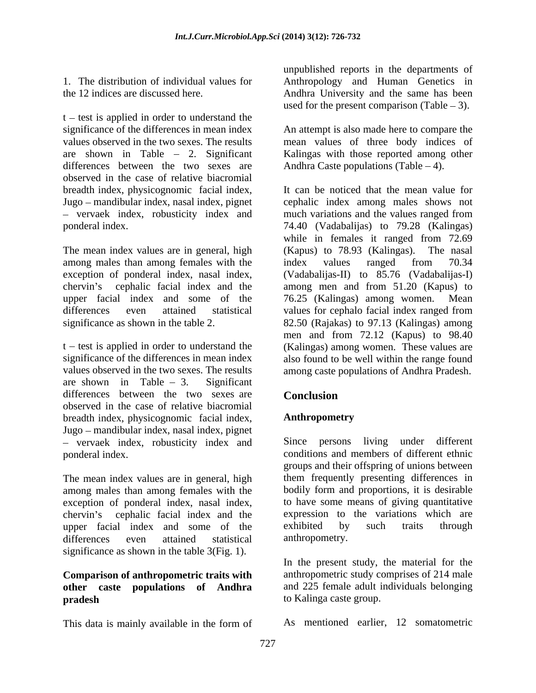$t - test$  is applied in order to understand the significance of the differences in mean index An attempt is also made here to compare the values observed in the two sexes. The results mean values of three body indices of are shown in Table 2. Significant Kalingas with those reported among other differences between the two sexes are observed in the case of relative biacromial breadth index, physicognomic facial index, - vervaek index, robusticity index and much variations and the values ranged from

among males than among females with the index values ranged from 70.34 upper facial index and some of the 76.25 (Kalingas) among women. Mean

are shown in Table  $-3$ . Significant differences between the two sexes are **Conclusion** observed in the case of relative biacromial breadth index, physicognomic facial index, Jugo – mandibular index, nasal index, pignet - vervaek index, robusticity index and ponderal index. conditions and members of different ethnic

The mean index values are in general, high among males than among females with the exception of ponderal index, nasal index, chervin's cephalic facial index and the expression to<br>upper facial index and some of the exhibited by upper facial index and some of the exhibited by such traits through differences even attained statistical anthropometry. significance as shown in the table 3(Fig. 1).

## **Comparison of anthropometric traits with other caste populations of Andhra pradesh** to Kalinga caste group.

This data is mainly available in the form of

1. The distribution of individual values for Anthropology and Human Genetics in the 12 indices are discussed here. Andhra University and the same has been unpublished reports in the departments of used for the present comparison (Table  $-3$ ).

Andhra Caste populations (Table  $-4$ ).

Jugo mandibular index, nasal index, pignet cephalic index among males shows not ponderal index. 74.40 (Vadabalijas) to 79.28 (Kalingas) The mean index values are in general, high (Kapus) to 78.93 (Kalingas). The nasal exception of ponderal index, nasal index, (Vadabalijas-II) to 85.76 (Vadabalijas-I) chervin's cephalic facial index and the among men and from 51.20 (Kapus) to differences even attained statistical values for cephalo facial index ranged from significance as shown in the table 2. 82.50 (Rajakas) to 97.13 (Kalingas) among t – test is applied in order to understand the (Kalingas) among women. These values are significance of the differences in mean index also found to be well within the range found values observed in the two sexes. The results among caste populations of Andhra Pradesh. It can be noticed that the mean value for much variations and the values ranged from while in females it ranged from 72.69 (Kapus) to  $78.93$  (Kalingas). index values ranged from 70.34 76.25 (Kalingas) among women. men and from 72.12 (Kapus) to 98.40

# **Conclusion**

## **Anthropometry**

Since persons living under different groups and their offspring of unions between them frequently presenting differences in bodily form and proportions, it is desirable to have some means of giving quantitative expression to the variations which are exhibited by such traits through anthropometry.

In the present study, the material for the anthropometric study comprises of 214 male and 225 female adult individuals belonging to Kalinga caste group.

As mentioned earlier, 12 somatometric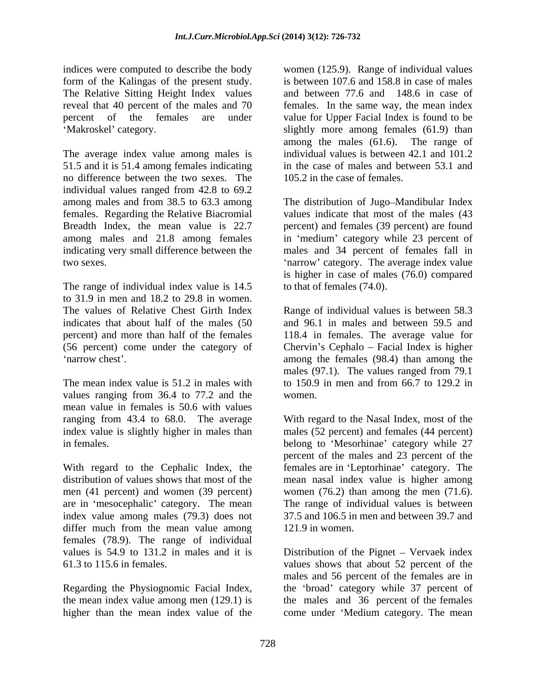indices were computed to describe the body women (125.9). Range of individual values form of the Kalingas of the present study. The Relative Sitting Height Index values reveal that 40 percent of the males and 70 females. In the same way, the mean index percent of the females are under value for Upper Facial Index is found to be

The average index value among males is 51.5 and it is 51.4 among females indicating no difference between the two sexes. The individual values ranged from 42.8 to 69.2 among males and from 38.5 to 63.3 among The distribution of Jugo–Mandibular Index females. Regarding the Relative Biacromial values indicate that most of the males (43 Breadth Index, the mean value is 22.7 percent) and females (39 percent) are found among males and 21.8 among females in 'medium' category while 23 percent of indicating very small difference between the males and 34 percent of females fall in two sexes. The average index value in the sexes. The average index value in the sexes.

The range of individual index value is 14.5 to 31.9 in men and 18.2 to 29.8 in women. percent) and more than half of the females

values ranging from 36.4 to 77.2 and the women. mean value in females is 50.6 with values

With regard to the Cephalic Index, the females are in 'Leptorhinae' category. The distribution of values shows that most of the mean nasalindex value is higher among men (41 percent) and women (39 percent) women (76.2) than among the men (71.6). are in 'mesocephalic' category. The mean index value among males (79.3) does not differ much from the mean value among females (78.9). The range of individual values is 54.9 to 131.2 in males and it is Distribution of the Pignet – Vervaek index

Regarding the Physiognomic Facial Index, higher than the mean index value of the come under 'Medium category. The mean

Makroskel' category. Slightly more among females (61.9) than is between 107.6 and 158.8 in case of males and between 77.6 and 148.6 in case of among the males (61.6). The range of individual values is between 42.1 and 101.2 in the case of males and between 53.1 and 105.2 in the case of females.

> is higher in case of males (76.0) compared to that of females (74.0).

The values of Relative Chest Girth Index Range of individual values is between 58.3 indicates that about half of the males (50 and 96.1 in males and between 59.5 and (56 percent) come under the category of Chervin's Cephalo – Facial Index is higher narrow chest'. The same is among the females (98.4) than among the same is among the same is among the same is  $\frac{1}{2}$ The mean index value is 51.2 in males with to 150.9 in men and from 66.7 to 129.2 in 118.4 in females. The average value for males (97.1). The values ranged from 79.1 to 150.9 in men and from 66.7 to 129.2 in women.

ranging from 43.4 to 68.0. The average With regard to the Nasal Index, most of the index value is slightly higher in males than males (52 percent) and females (44 percent) in females. belong to 'Mesorhinae' category while 27 percent of the males and 23 percent of the The range of individual values is between 37.5 and 106.5 in men and between 39.7 and 121.9 in women.

61.3 to 115.6 in females. values shows that about 52 percent of the the mean index value among men (129.1) is the males and 36 percent of the females males and 56 percent of the females are in the 'broad' category while 37 percent of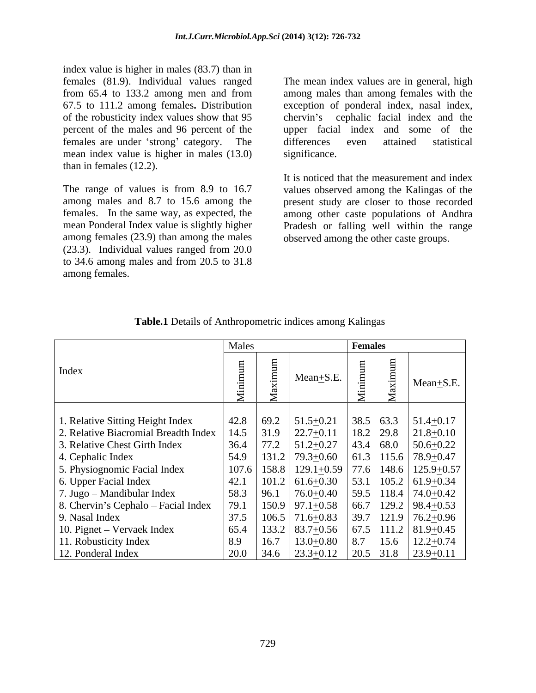index value is higher in males (83.7) than in<br>females (81.9). Individual values ranged females (81.9). Individual values ranged The mean index values are in general, high from 65.4 to 133.2 among men and from 67.5 to 111.2 among females**.** Distribution exception of ponderal index, nasal index, of the robusticity index values show that 95 percent of the males and 96 percent of the upper facial index and some of the females are under 'strong' category. The differences even attained statistical mean index value is higher in males (13.0) significance. than in females (12.2).

among females (23.9) than among the males (23.3). Individual values ranged from 20.0 to 34.6 among males and from 20.5 to 31.8 among females.

among males than among females with the cephalic facial index and the differences even attained statistical significance.

The range of values is from 8.9 to 16.7 values observed among the Kalingas of the among males and 8.7 to 15.6 among the present study are closer to those recorded females. In the same way, as expected, the among other caste populations of Andhra mean Ponderal Index value is slightly higher Pradesh or falling well within the range It is noticed that the measurement and index observed among the other caste groups.

|                                                                                                      |                                                                                                       | <b>Females</b> |               |
|------------------------------------------------------------------------------------------------------|-------------------------------------------------------------------------------------------------------|----------------|---------------|
| Index                                                                                                | Mean $\pm$ S.E.                                                                                       |                | Mean $+$ S.E. |
|                                                                                                      |                                                                                                       |                |               |
| 1. Relative Sitting Height Index                                                                     | 42.8   69.2   51.5 $\pm$ 0.21   38.5   63.3   51.4 $\pm$ 0.17                                         |                |               |
| 2. Relative Biacromial Breadth Index   14.5   31.9   22.7 $\pm$ 0.11   18.2   29.8   21.8 $\pm$ 0.10 |                                                                                                       |                |               |
| 3. Relative Chest Girth Index                                                                        | $36.4$ 77.2 $51.2 \pm 0.27$ 43.4 68.0 50.6 + 0.22                                                     |                |               |
| 4. Cephalic Index                                                                                    | $\vert$ 54.9 $\vert$ 131.2 $\vert$ 79.3 $\pm$ 0.60 $\vert$ 61.3 $\vert$ 115.6 $\vert$ 78.9 $\pm$ 0.47 |                |               |
| 5. Physiognomic Facial Index                                                                         | 107.6   158.8   129.1 $\pm$ 0.59   77.6   148.6   125.9 $\pm$ 0.57                                    |                |               |
| 6. Upper Facial Index                                                                                | $\vert$ 42.1 $\vert$ 101.2 $\vert$ 61.6+0.30 $\vert$ 53.1 $\vert$ 105.2 $\vert$ 61.9+0.34             |                |               |
| $\vert$ 7. Jugo – Mandibular Index                                                                   | $\vert$ 58.3 $\vert$ 96.1 $\vert$ 76.0 $\pm$ 0.40 $\vert$ 59.5 $\vert$ 118.4 $\vert$ 74.0 $\pm$ 0.42  |                |               |
| 8. Chervin's Cephalo - Facial Index                                                                  | 79.1   150.9   97.1 $\pm$ 0.58   66.7   129.2   98.4 $\pm$ 0.53                                       |                |               |
| 9. Nasal Index                                                                                       | 37.5   106.5   71.6 + 0.83   39.7   121.9   76.2 + 0.96                                               |                |               |
| 10. Pignet – Vervaek Index                                                                           | $\vert$ 65.4 $\vert$ 133.2 $\vert$ 83.7 $\pm$ 0.56 $\vert$ 67.5 $\vert$ 111.2 $\vert$ 81.9 $\pm$ 0.45 |                |               |
| 11. Robusticity Index                                                                                | $\vert$ 8.9 $\vert$ 16.7 $\vert$ 13.0+0.80 $\vert$ 8.7 $\vert$ 15.6 $\vert$ 12.2+0.74                 |                |               |
| 12. Ponderal Index                                                                                   | 20.0   34.6   23.3 + 0.12   20.5   31.8   23.9 + 0.11                                                 |                |               |

**Table.1** Details of Anthropometric indices among Kalingas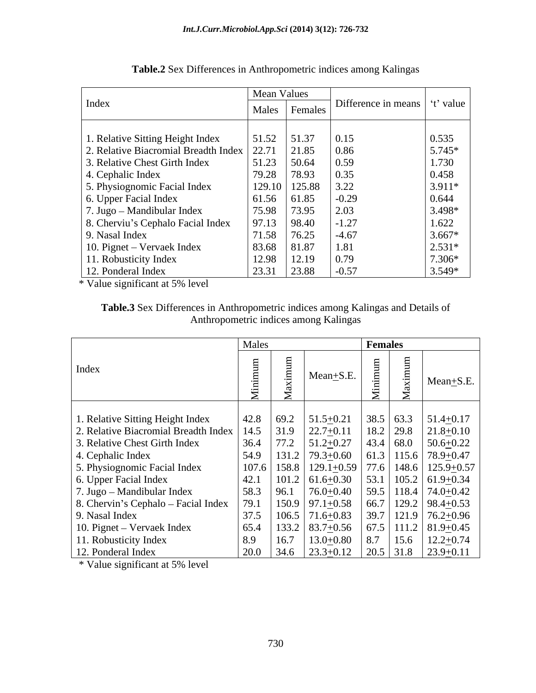|                                            | <b>Mean Values</b> |               |                     |          |
|--------------------------------------------|--------------------|---------------|---------------------|----------|
| Index                                      |                    | Males Females | Difference in means | t' value |
|                                            |                    |               |                     |          |
| 1. Relative Sitting Height Index           | 51.52              | 51.37         | 0.15                | 0.535    |
| 2. Relative Biacromial Breadth Index 22.71 |                    | 21.85         | 0.86                | $5.745*$ |
| 3. Relative Chest Girth Index              | 51.23              | 50.64         | 0.59                | 1.730    |
| 4. Cephalic Index                          | 79.28              | 78.93         | 0.35                | 0.458    |
| 5. Physiognomic Facial Index               |                    | 129.10 125.88 | 3.22                | $3.911*$ |
| 6. Upper Facial Index                      | 61.56              | 61.85         | $-0.29$             | 0.644    |
| 7. Jugo – Mandibular Index                 | 75.98              | 73.95         | 2.03                | $3.498*$ |
| 8. Cherviu's Cephalo Facial Index          | 97.13              | 98.40         | $-1.27$             | 1.622    |
| 9. Nasal Index                             | 71.58              | 76.25         | $-4.67$             | $3.667*$ |
| 10. Pignet – Vervaek Index                 | 83.68              | 81.87         | 1.81                | $2.531*$ |
| 11. Robusticity Index                      | 12.98              | 12.19         | 0.79                | 7.306*   |
| 12. Ponderal Index                         | 23.31              | 23.88         | $1 - 0.57$          | $3.549*$ |

| <b>Table.2</b> Sex Differences in Anthropometric indices among Kalingas |  |
|-------------------------------------------------------------------------|--|
|                                                                         |  |

\* Value significant at 5% level

| --<br>x Differences in Anthropometric in<br>Table.3 Sex<br>c indices among Kalingas and Details of<br>$\sim$ 3 $\sqrt{2}$ |  |
|---------------------------------------------------------------------------------------------------------------------------|--|
| Anthropometric indice<br>s among Kalingas                                                                                 |  |

|                                                                                                      | Males |                                                                                                       | Females |                 |  |
|------------------------------------------------------------------------------------------------------|-------|-------------------------------------------------------------------------------------------------------|---------|-----------------|--|
| Index                                                                                                |       | $Mean + S.E.$                                                                                         |         | $Mean \pm S.E.$ |  |
|                                                                                                      |       |                                                                                                       |         |                 |  |
| 1. Relative Sitting Height Index                                                                     |       | 42.8   69.2   51.5 $\pm$ 0.21   38.5   63.3   51.4 $\pm$ 0.17                                         |         |                 |  |
| 2. Relative Biacromial Breadth Index   14.5   31.9   22.7 $\pm$ 0.11   18.2   29.8   21.8 $\pm$ 0.10 |       |                                                                                                       |         |                 |  |
| 3. Relative Chest Girth Index                                                                        |       | 36.4   77.2   51.2 $\pm$ 0.27   43.4   68.0   50.6 $\pm$ 0.22                                         |         |                 |  |
| 4. Cephalic Index                                                                                    |       | $\vert$ 54.9 $\vert$ 131.2 $\vert$ 79.3 $\pm$ 0.60 $\vert$ 61.3 $\vert$ 115.6 $\vert$ 78.9 $\pm$ 0.47 |         |                 |  |
| 5. Physiognomic Facial Index                                                                         |       | 107.6   158.8   129.1 <u>+</u> 0.59   77.6   148.6   125.9 <u>+</u> 0.57                              |         |                 |  |
| 6. Upper Facial Index                                                                                |       | 42.1   101.2   61.6 + 0.30   53.1   105.2   61.9 + 0.34                                               |         |                 |  |
| $\sqrt{7}$ . Jugo – Mandibular Index                                                                 |       | 58.3   96.1   76.0 $\pm$ 0.40   59.5   118.4   74.0 $\pm$ 0.42                                        |         |                 |  |
| $\vert$ 8. Chervin's Cephalo – Facial Index $\vert$                                                  |       | 79.1   150.9   97.1 $\pm$ 0.58   66.7   129.2   98.4 $\pm$ 0.53                                       |         |                 |  |
| 9. Nasal Index                                                                                       |       | 37.5   106.5   71.6 + 0.83   39.7   121.9   76.2 + 0.96                                               |         |                 |  |
| 10. Pignet – Vervaek Index                                                                           |       | $\vert$ 65.4 $\vert$ 133.2 $\vert$ 83.7 $\pm$ 0.56 $\vert$ 67.5 $\vert$ 111.2 $\vert$ 81.9 $\pm$ 0.45 |         |                 |  |
| 11. Robusticity Index                                                                                |       | 8.9   16.7   13.0 $\pm$ 0.80   8.7   15.6   12.2 $\pm$ 0.74                                           |         |                 |  |
| 12. Ponderal Index                                                                                   |       | $\vert$ 20.0 $\vert$ 34.6 $\vert$ 23.3 $\pm$ 0.12 $\vert$ 20.5 $\vert$ 31.8 $\vert$ 23.9 $\pm$ 0.11   |         |                 |  |

\* Value significant at 5% level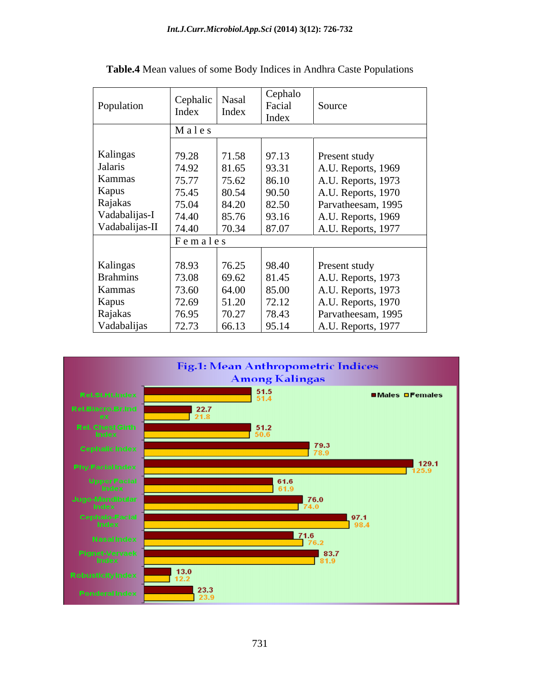| Population      | Cephalic   Nasal<br>Index | Index | Cephalo<br>Facial<br>Index | Source             |
|-----------------|---------------------------|-------|----------------------------|--------------------|
|                 | Males                     |       |                            |                    |
| Kalingas        | 79.28                     | 71.58 | 97.13                      | Present study      |
| Jalaris         | 74.92                     | 81.65 | 93.31                      | A.U. Reports, 1969 |
| Kammas          | 75.77                     | 75.62 | 86.10                      | A.U. Reports, 1973 |
| Kapus           | 75.45                     | 80.54 | 90.50                      | A.U. Reports, 1970 |
| Rajakas         | 75.04                     | 84.20 | 82.50                      | Parvatheesam, 1995 |
| Vadabalijas-I   | 74.40                     | 85.76 | 93.16                      | A.U. Reports, 1969 |
| Vadabalijas-II  | 74.40                     | 70.34 | 87.07                      | A.U. Reports, 1977 |
|                 | Females                   |       |                            |                    |
|                 |                           |       |                            |                    |
| Kalingas        | 78.93                     | 76.25 | 98.40                      | Present study      |
| <b>Brahmins</b> | 73.08                     | 69.62 | 81.45                      | A.U. Reports, 1973 |
| Kammas          | 73.60                     | 64.00 | 85.00                      | A.U. Reports, 1973 |
| Kapus           | 72.69                     | 51.20 | 72.12                      | A.U. Reports, 1970 |
| Rajakas         | 76.95                     | 70.27 | 78.43                      | Parvatheesam, 1995 |
| Vadabalijas     | 72.73                     | 66.13 | 95.14                      | A.U. Reports, 1977 |

**Table.4** Mean values of some Body Indices in Andhra Caste Populations